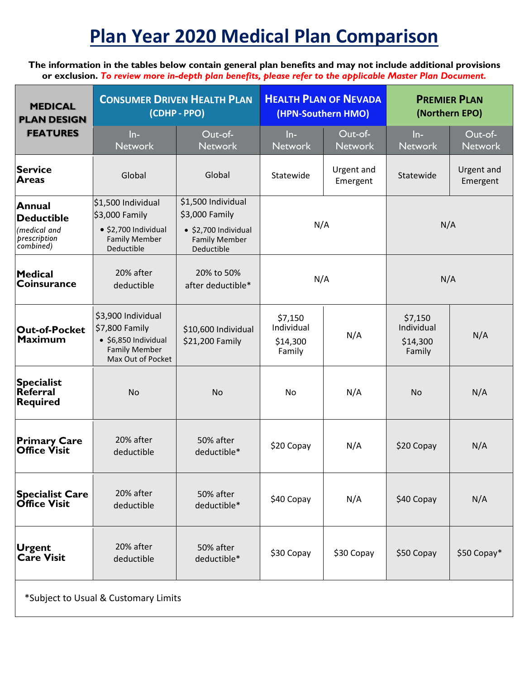# **Plan Year 2020 Medical Plan Comparison**

**The information in the tables below contain general plan benefits and may not include additional provisions or exclusion.** *To review more in-depth plan benefits, please refer to the applicable Master Plan Document.*

| <b>MEDICAL</b><br><b>PLAN DESIGN</b>                              | <b>CONSUMER DRIVEN HEALTH PLAN</b><br>(CDHP - PPO)                                                                |                                                                                                            | <b>HEALTH PLAN OF NEVADA</b><br>(HPN-Southern HMO) |                           | <b>PREMIER PLAN</b><br>(Northern EPO)       |                               |
|-------------------------------------------------------------------|-------------------------------------------------------------------------------------------------------------------|------------------------------------------------------------------------------------------------------------|----------------------------------------------------|---------------------------|---------------------------------------------|-------------------------------|
| <b>FEATURES</b>                                                   | $ln-$<br><b>Network</b>                                                                                           | Out-of-<br><b>Network</b>                                                                                  | $ln-$<br><b>Network</b>                            | Out-of-<br><b>Network</b> | $ln-$<br><b>Network</b>                     | Out-of-<br><b>Network</b>     |
| Service<br><b>Areas</b>                                           | Global                                                                                                            | Global                                                                                                     | Statewide                                          | Urgent and<br>Emergent    | Statewide                                   | <b>Urgent and</b><br>Emergent |
| Annual<br>Deductible<br>(medical and<br>prescription<br>combined) | \$1,500 Individual<br>\$3,000 Family<br>· \$2,700 Individual<br><b>Family Member</b><br>Deductible                | \$1,500 Individual<br>\$3,000 Family<br>$\bullet$ \$2,700 Individual<br><b>Family Member</b><br>Deductible | N/A                                                |                           | N/A                                         |                               |
| Medical<br><b>Coinsurance</b>                                     | 20% after<br>deductible                                                                                           | 20% to 50%<br>after deductible*                                                                            | N/A                                                |                           | N/A                                         |                               |
| <b>Out-of-Pocket</b><br><b>Maximum</b>                            | \$3,900 Individual<br>\$7,800 Family<br>$\bullet$ \$6,850 Individual<br><b>Family Member</b><br>Max Out of Pocket | \$10,600 Individual<br>\$21,200 Family                                                                     | \$7,150<br>Individual<br>\$14,300<br>Family        | N/A                       | \$7,150<br>Individual<br>\$14,300<br>Family | N/A                           |
| Specialist<br>Referral<br>Required                                | <b>No</b>                                                                                                         | <b>No</b>                                                                                                  | No                                                 | N/A                       | <b>No</b>                                   | N/A                           |
| <b>Primary Care</b><br><b>Office Visit</b>                        | 20% after<br>deductible                                                                                           | 50% after<br>deductible*                                                                                   | \$20 Copay                                         | N/A                       | \$20 Copay                                  | N/A                           |
| <b>Specialist Care</b><br><b>Office Visit</b>                     | 20% after<br>deductible                                                                                           | 50% after<br>deductible*                                                                                   | \$40 Copay                                         | N/A                       | \$40 Copay                                  | N/A                           |
| <b>Urgent</b><br><b>Care Visit</b>                                | 20% after<br>deductible                                                                                           | 50% after<br>deductible*                                                                                   | \$30 Copay                                         | \$30 Copay                | \$50 Copay                                  | \$50 Copay*                   |
| *Subject to Usual & Customary Limits                              |                                                                                                                   |                                                                                                            |                                                    |                           |                                             |                               |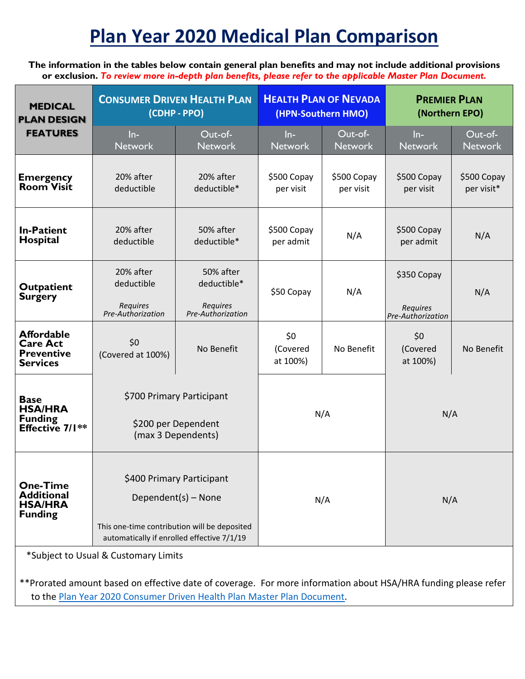## **Plan Year 2020 Medical Plan Comparison**

**The information in the tables below contain general plan benefits and may not include additional provisions or exclusion.** *To review more in-depth plan benefits, please refer to the applicable Master Plan Document.*

| <b>MEDICAL</b><br><b>PLAN DESIGN</b>                                         | <b>CONSUMER DRIVEN HEALTH PLAN</b><br>(CDHP - PPO)                                                                                             |                                                           | <b>HEALTH PLAN OF NEVADA</b><br>(HPN-Southern HMO) |                           | <b>PREMIER PLAN</b><br>(Northern EPO)               |                           |
|------------------------------------------------------------------------------|------------------------------------------------------------------------------------------------------------------------------------------------|-----------------------------------------------------------|----------------------------------------------------|---------------------------|-----------------------------------------------------|---------------------------|
| <b>FEATURES</b>                                                              | $ln-$<br><b>Network</b>                                                                                                                        | Out-of-<br><b>Network</b>                                 | $ln-$<br><b>Network</b>                            | Out-of-<br><b>Network</b> | $ln-$<br><b>Network</b>                             | Out-of-<br><b>Network</b> |
| <b>Emergency</b><br><b>Room Visit</b>                                        | 20% after<br>deductible                                                                                                                        | 20% after<br>deductible*                                  | \$500 Copay<br>per visit                           | \$500 Copay<br>per visit  | \$500 Copay<br>per visit                            | \$500 Copay<br>per visit* |
| <b>In-Patient</b><br><b>Hospital</b>                                         | 20% after<br>deductible                                                                                                                        | 50% after<br>deductible*                                  | \$500 Copay<br>per admit                           | N/A                       | \$500 Copay<br>per admit                            | N/A                       |
| <b>Outpatient</b><br><b>Surgery</b>                                          | 20% after<br>deductible<br><b>Requires</b><br>Pre-Authorization                                                                                | 50% after<br>deductible*<br>Requires<br>Pre-Authorization | \$50 Copay                                         | N/A                       | \$350 Copay<br><b>Requires</b><br>Pre-Authorization | N/A                       |
| <b>Affordable</b><br><b>Care Act</b><br><b>Preventive</b><br><b>Services</b> | \$0<br>(Covered at 100%)                                                                                                                       | No Benefit                                                | \$0<br>(Covered<br>at 100%)                        | No Benefit                | \$0<br>(Covered<br>at 100%)                         | No Benefit                |
| <b>Base</b><br><b>HSA/HRA</b><br><b>Funding</b><br>Effective $7/1**$         | \$700 Primary Participant<br>\$200 per Dependent<br>(max 3 Dependents)                                                                         |                                                           | N/A                                                |                           | N/A                                                 |                           |
| <b>One-Time</b><br><b>Additional</b><br><b>HSA/HRA</b><br><b>Funding</b>     | \$400 Primary Participant<br>Dependent(s) - None<br>This one-time contribution will be deposited<br>automatically if enrolled effective 7/1/19 |                                                           | N/A                                                |                           | N/A                                                 |                           |
| *Subject to Usual & Customary Limits                                         |                                                                                                                                                |                                                           |                                                    |                           |                                                     |                           |

\*\*Prorated amount based on effective date of coverage. For more information about HSA/HRA funding please refer to the Plan Year 2020 [Consumer Driven Health Plan Master Plan Document.](https://pebp.state.nv.us/wp-content/uploads/2019/05/PY2020_CDHP_BA.51519.pdf)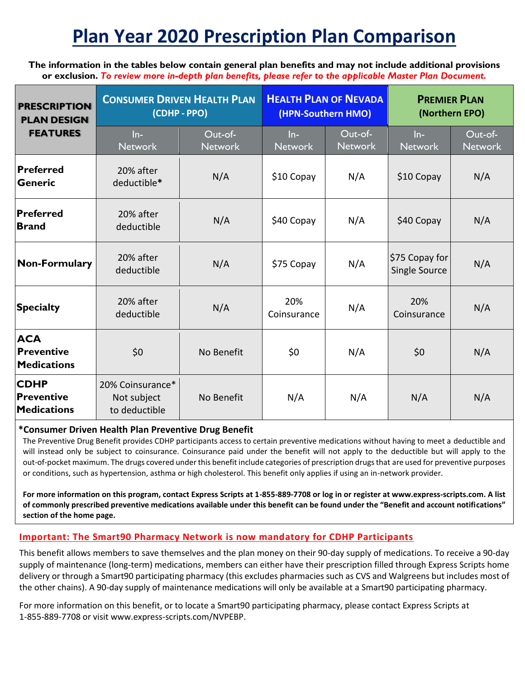## **Plan Year 2020 Prescription Plan Comparison**

**The information in the tables below contain general plan benefits and may not include additional provisions or exclusion.** *To review more in-depth plan benefits, please refer to the applicable Master Plan Document.*

| <b>PRESCRIPTION</b><br><b>PLAN DESIGN</b><br><b>FEATURES</b> | <b>CONSUMER DRIVEN HEALTH PLAN</b><br>(CDHP - PPO) |                           | <b>HEALTH PLAN OF NEVADA</b><br>(HPN-Southern HMO) |                           | <b>PREMIER PLAN</b><br>(Northern EPO) |                           |
|--------------------------------------------------------------|----------------------------------------------------|---------------------------|----------------------------------------------------|---------------------------|---------------------------------------|---------------------------|
|                                                              | $ln-$<br><b>Network</b>                            | Out-of-<br><b>Network</b> | $ln-$<br><b>Network</b>                            | Out-of-<br><b>Network</b> | $ln-$<br><b>Network</b>               | Out-of-<br><b>Network</b> |
| <b>Preferred</b><br><b>Generic</b>                           | 20% after<br>deductible*                           | N/A                       | \$10 Copay                                         | N/A                       | $$10$ Copay                           | N/A                       |
| <b>Preferred</b><br><b>Brand</b>                             | 20% after<br>deductible                            | N/A                       | \$40 Copay                                         | N/A                       | \$40 Copay                            | N/A                       |
| <b>Non-Formulary</b>                                         | 20% after<br>deductible                            | N/A                       | \$75 Copay                                         | N/A                       | \$75 Copay for<br>Single Source       | N/A                       |
| <b>Specialty</b>                                             | 20% after<br>deductible                            | N/A                       | 20%<br>Coinsurance                                 | N/A                       | 20%<br>Coinsurance                    | N/A                       |
| <b>ACA</b><br><b>Preventive</b><br><b>Medications</b>        | \$0                                                | No Benefit                | \$0                                                | N/A                       | \$0                                   | N/A                       |
| <b>CDHP</b><br><b>Preventive</b><br><b>Medications</b>       | 20% Coinsurance*<br>Not subject<br>to deductible   | No Benefit                | N/A                                                | N/A                       | N/A                                   | N/A                       |

#### **\*Consumer Driven Health Plan Preventive Drug Benefit**

The Preventive Drug Benefit provides CDHP participants access to certain preventive medications without having to meet a deductible and will instead only be subject to coinsurance. Coinsurance paid under the benefit will not apply to the deductible but will apply to the out-of-pocket maximum. The drugs covered under this benefit include categories of prescription drugs that are used for preventive purposes or conditions, such as hypertension, asthma or high cholesterol. This benefit only applies if using an in-network provider.

**For more information on this program, contact Express Scripts at 1-855-889-7708 or log in or register at www.express-scripts.com. A list of commonly prescribed preventive medications available under this benefit can be found under the "Benefit and account notifications" section of the home page.**

### **Important: The Smart90 Pharmacy Network is now mandatory for CDHP Participants**

This benefit allows members to save themselves and the plan money on their 90-day supply of medications. To receive a 90-day supply of maintenance (long-term) medications, members can either have their prescription filled through Express Scripts home delivery or through a Smart90 participating pharmacy (this excludes pharmacies such as CVS and Walgreens but includes most of the other chains). A 90-day supply of maintenance medications will only be available at a Smart90 participating pharmacy.

For more information on this benefit, or to locate a Smart90 participating pharmacy, please contact Express Scripts at 1-855-889-7708 or visit www.express-scripts.com/NVPEBP.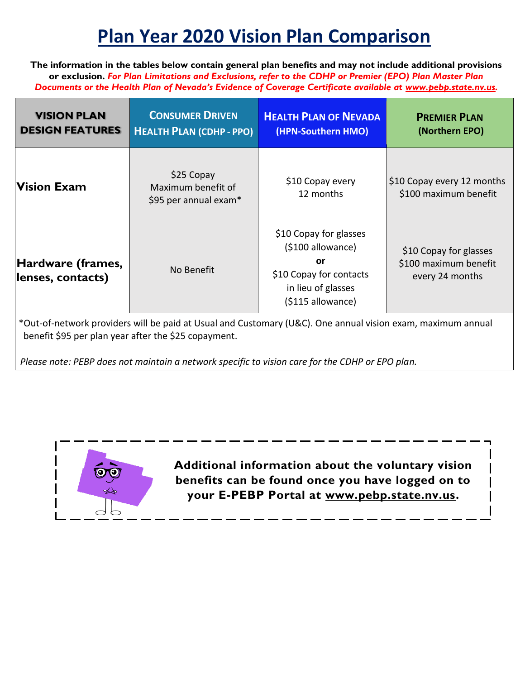### **Plan Year 2020 Vision Plan Comparison**

**The information in the tables below contain general plan benefits and may not include additional provisions or exclusion.** *For Plan Limitations and Exclusions, refer to the CDHP or Premier (EPO) Plan Master Plan Documents or the Health Plan of Nevada's Evidence of Coverage Certificate available at [www.pebp.state.nv.us](http://www.pebp.state.nv.us/)[.](https://pebp.state.nv.us/resources/forms-publications/publications/)*

| <b>VISION PLAN</b><br><b>DESIGN FEATURES</b>                                                                                                                        | <b>CONSUMER DRIVEN</b><br><b>HEALTH PLAN (CDHP - PPO)</b> | <b>HEALTH PLAN OF NEVADA</b><br>(HPN-Southern HMO)                                                                      | <b>PREMIER PLAN</b><br>(Northern EPO)                              |  |
|---------------------------------------------------------------------------------------------------------------------------------------------------------------------|-----------------------------------------------------------|-------------------------------------------------------------------------------------------------------------------------|--------------------------------------------------------------------|--|
| <b>Vision Exam</b>                                                                                                                                                  | \$25 Copay<br>Maximum benefit of<br>\$95 per annual exam* | \$10 Copay every<br>12 months                                                                                           | \$10 Copay every 12 months<br>\$100 maximum benefit                |  |
| Hardware (frames,<br>lenses, contacts)                                                                                                                              | No Benefit                                                | \$10 Copay for glasses<br>(\$100 allowance)<br>or<br>\$10 Copay for contacts<br>in lieu of glasses<br>(\$115 allowance) | \$10 Copay for glasses<br>\$100 maximum benefit<br>every 24 months |  |
| *Out-of-network providers will be paid at Usual and Customary (U&C). One annual vision exam, maximum annual<br>benefit \$95 per plan year after the \$25 copayment. |                                                           |                                                                                                                         |                                                                    |  |

*Please note: PEBP does not maintain a network specific to vision care for the CDHP or EPO plan.* 



**Additional information about the voluntary vision benefits can be found once you have logged on to your E-PEBP Portal at [www.pebp.state.nv.us.](http://www.pebp.state.nv.us/)**